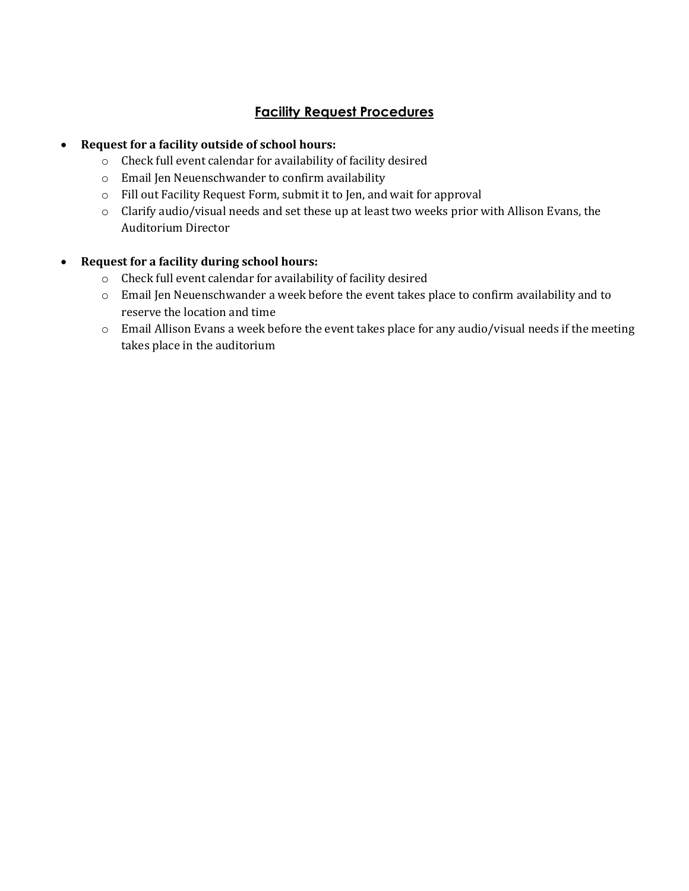## **Facility Request Procedures**

## **Request for a facility outside of school hours:**

- o Check full event calendar for availability of facility desired
- o Email Jen Neuenschwander to confirm availability
- o Fill out Facility Request Form, submit it to Jen, and wait for approval
- o Clarify audio/visual needs and set these up at least two weeks prior with Allison Evans, the Auditorium Director

## **Request for a facility during school hours:**

- o Check full event calendar for availability of facility desired
- o Email Jen Neuenschwander a week before the event takes place to confirm availability and to reserve the location and time
- o Email Allison Evans a week before the event takes place for any audio/visual needs if the meeting takes place in the auditorium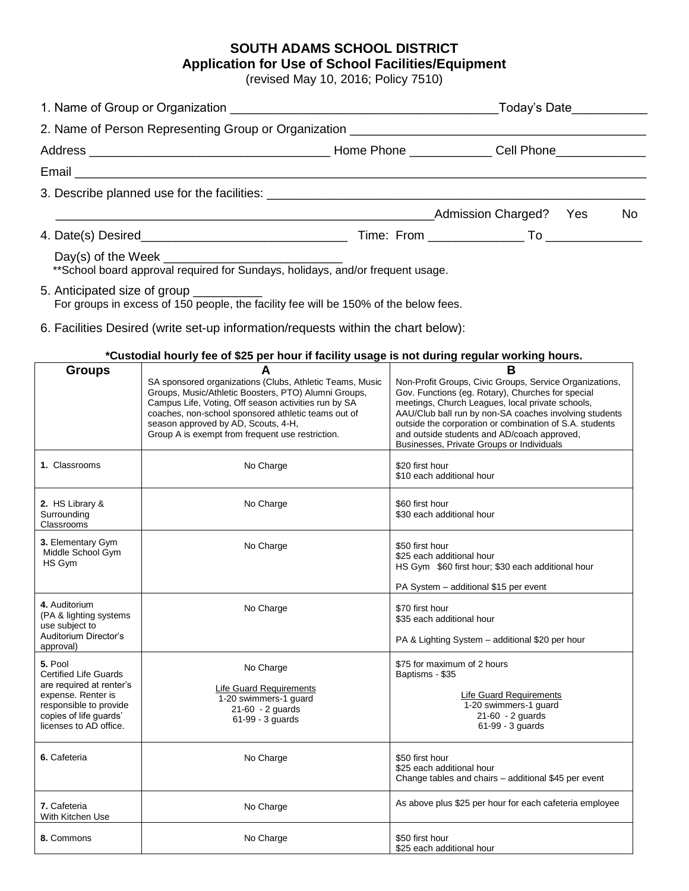## **SOUTH ADAMS SCHOOL DISTRICT Application for Use of School Facilities/Equipment**

(revised May 10, 2016; Policy 7510)

|                                                                                 |                        | Today's Date___________ |    |
|---------------------------------------------------------------------------------|------------------------|-------------------------|----|
|                                                                                 |                        |                         |    |
|                                                                                 |                        |                         |    |
|                                                                                 |                        |                         |    |
|                                                                                 |                        |                         |    |
|                                                                                 | Admission Charged? Yes |                         | No |
|                                                                                 |                        |                         |    |
| ** School board approval required for Sundays, holidays, and/or frequent usage. |                        |                         |    |

5. Anticipated size of group For groups in excess of 150 people, the facility fee will be 150% of the below fees.

6. Facilities Desired (write set-up information/requests within the chart below):

**\*Custodial hourly fee of \$25 per hour if facility usage is not during regular working hours.**

|                                                                                                                                                                         | racioara: noang 100 or 420 por noan intaointy acago io not aanny rogalar working noarch                                                                                                                                                                                                                                         |                                                                                                                                                                                                                                                                                                                                                                                        |
|-------------------------------------------------------------------------------------------------------------------------------------------------------------------------|---------------------------------------------------------------------------------------------------------------------------------------------------------------------------------------------------------------------------------------------------------------------------------------------------------------------------------|----------------------------------------------------------------------------------------------------------------------------------------------------------------------------------------------------------------------------------------------------------------------------------------------------------------------------------------------------------------------------------------|
| <b>Groups</b>                                                                                                                                                           | A<br>SA sponsored organizations (Clubs, Athletic Teams, Music<br>Groups, Music/Athletic Boosters, PTO) Alumni Groups,<br>Campus Life, Voting, Off season activities run by SA<br>coaches, non-school sponsored athletic teams out of<br>season approved by AD, Scouts, 4-H,<br>Group A is exempt from frequent use restriction. | B<br>Non-Profit Groups, Civic Groups, Service Organizations,<br>Gov. Functions (eg. Rotary), Churches for special<br>meetings, Church Leagues, local private schools,<br>AAU/Club ball run by non-SA coaches involving students<br>outside the corporation or combination of S.A. students<br>and outside students and AD/coach approved,<br>Businesses, Private Groups or Individuals |
| 1. Classrooms                                                                                                                                                           | No Charge                                                                                                                                                                                                                                                                                                                       | \$20 first hour<br>\$10 each additional hour                                                                                                                                                                                                                                                                                                                                           |
| 2. HS Library &<br>Surrounding<br>Classrooms                                                                                                                            | No Charge                                                                                                                                                                                                                                                                                                                       | \$60 first hour<br>\$30 each additional hour                                                                                                                                                                                                                                                                                                                                           |
| 3. Elementary Gym<br>Middle School Gym<br>HS Gym                                                                                                                        | No Charge                                                                                                                                                                                                                                                                                                                       | \$50 first hour<br>\$25 each additional hour<br>HS Gym \$60 first hour; \$30 each additional hour<br>PA System - additional \$15 per event                                                                                                                                                                                                                                             |
| 4. Auditorium<br>(PA & lighting systems<br>use subject to<br>Auditorium Director's<br>approval)                                                                         | No Charge                                                                                                                                                                                                                                                                                                                       | \$70 first hour<br>\$35 each additional hour<br>PA & Lighting System - additional \$20 per hour                                                                                                                                                                                                                                                                                        |
| 5. Pool<br><b>Certified Life Guards</b><br>are required at renter's<br>expense. Renter is<br>responsible to provide<br>copies of life guards'<br>licenses to AD office. | No Charge<br><b>Life Guard Requirements</b><br>1-20 swimmers-1 quard<br>21-60 - 2 guards<br>61-99 - 3 guards                                                                                                                                                                                                                    | \$75 for maximum of 2 hours<br>Baptisms - \$35<br><b>Life Guard Requirements</b><br>1-20 swimmers-1 guard<br>$21-60 - 2$ guards<br>61-99 - 3 guards                                                                                                                                                                                                                                    |
| 6. Cafeteria                                                                                                                                                            | No Charge                                                                                                                                                                                                                                                                                                                       | \$50 first hour<br>\$25 each additional hour<br>Change tables and chairs - additional \$45 per event                                                                                                                                                                                                                                                                                   |
| 7. Cafeteria<br>With Kitchen Use                                                                                                                                        | No Charge                                                                                                                                                                                                                                                                                                                       | As above plus \$25 per hour for each cafeteria employee                                                                                                                                                                                                                                                                                                                                |
| 8. Commons                                                                                                                                                              | No Charge                                                                                                                                                                                                                                                                                                                       | \$50 first hour<br>\$25 each additional hour                                                                                                                                                                                                                                                                                                                                           |